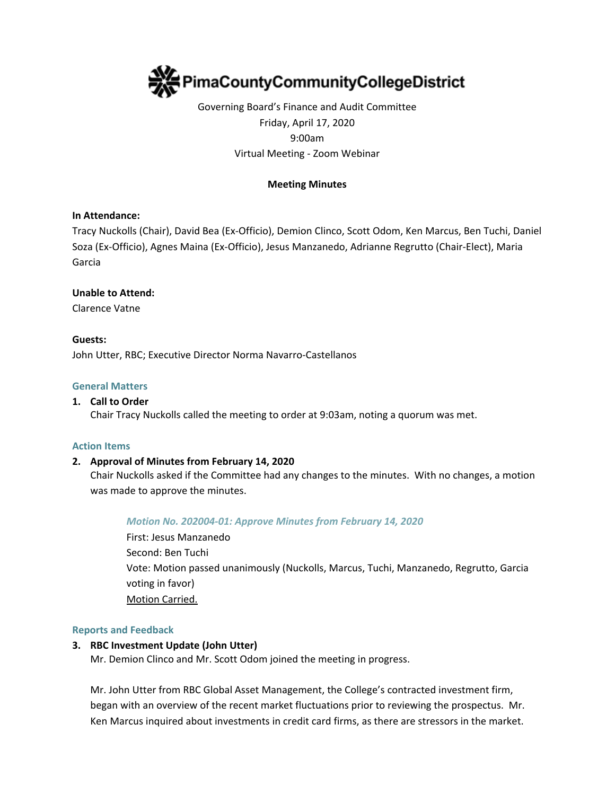

# Governing Board's Finance and Audit Committee Friday, April 17, 2020 9:00am Virtual Meeting - Zoom Webinar

## **Meeting Minutes**

## **In Attendance:**

Tracy Nuckolls (Chair), David Bea (Ex-Officio), Demion Clinco, Scott Odom, Ken Marcus, Ben Tuchi, Daniel Soza (Ex-Officio), Agnes Maina (Ex-Officio), Jesus Manzanedo, Adrianne Regrutto (Chair-Elect), Maria Garcia

### **Unable to Attend:**

Clarence Vatne

# **Guests:**

John Utter, RBC; Executive Director Norma Navarro-Castellanos

### **General Matters**

### **1. Call to Order**

Chair Tracy Nuckolls called the meeting to order at 9:03am, noting a quorum was met.

#### **Action Items**

## **2. Approval of Minutes from February 14, 2020**

Chair Nuckolls asked if the Committee had any changes to the minutes. With no changes, a motion was made to approve the minutes.

#### *Motion No. 202004-01: Approve Minutes from February 14, 2020*

First: Jesus Manzanedo Second: Ben Tuchi Vote: Motion passed unanimously (Nuckolls, Marcus, Tuchi, Manzanedo, Regrutto, Garcia voting in favor) Motion Carried.

#### **Reports and Feedback**

## **3. RBC Investment Update (John Utter)**

Mr. Demion Clinco and Mr. Scott Odom joined the meeting in progress.

Mr. John Utter from RBC Global Asset Management, the College's contracted investment firm, began with an overview of the recent market fluctuations prior to reviewing the prospectus. Mr. Ken Marcus inquired about investments in credit card firms, as there are stressors in the market.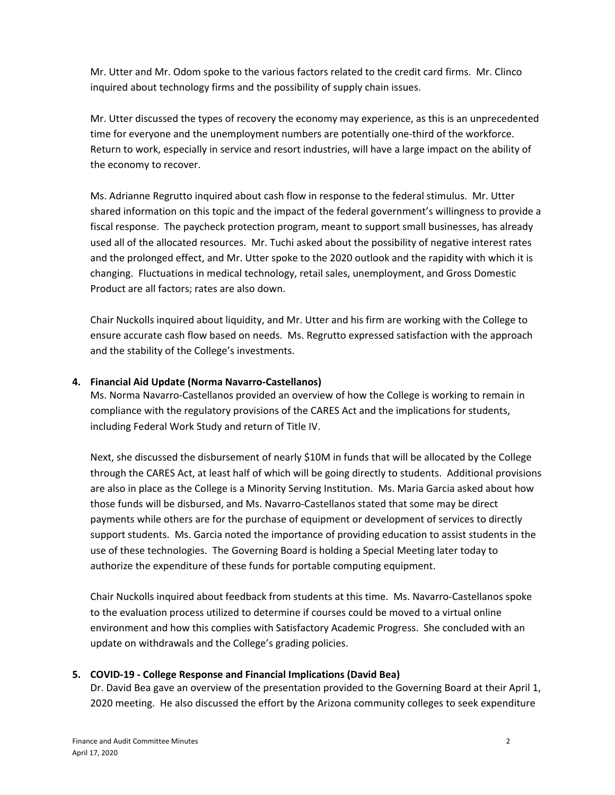Mr. Utter and Mr. Odom spoke to the various factors related to the credit card firms. Mr. Clinco inquired about technology firms and the possibility of supply chain issues.

Mr. Utter discussed the types of recovery the economy may experience, as this is an unprecedented time for everyone and the unemployment numbers are potentially one-third of the workforce. Return to work, especially in service and resort industries, will have a large impact on the ability of the economy to recover.

Ms. Adrianne Regrutto inquired about cash flow in response to the federal stimulus. Mr. Utter shared information on this topic and the impact of the federal government's willingness to provide a fiscal response. The paycheck protection program, meant to support small businesses, has already used all of the allocated resources. Mr. Tuchi asked about the possibility of negative interest rates and the prolonged effect, and Mr. Utter spoke to the 2020 outlook and the rapidity with which it is changing. Fluctuations in medical technology, retail sales, unemployment, and Gross Domestic Product are all factors; rates are also down.

Chair Nuckolls inquired about liquidity, and Mr. Utter and his firm are working with the College to ensure accurate cash flow based on needs. Ms. Regrutto expressed satisfaction with the approach and the stability of the College's investments.

# **4. Financial Aid Update (Norma Navarro-Castellanos)**

Ms. Norma Navarro-Castellanos provided an overview of how the College is working to remain in compliance with the regulatory provisions of the CARES Act and the implications for students, including Federal Work Study and return of Title IV.

Next, she discussed the disbursement of nearly \$10M in funds that will be allocated by the College through the CARES Act, at least half of which will be going directly to students. Additional provisions are also in place as the College is a Minority Serving Institution. Ms. Maria Garcia asked about how those funds will be disbursed, and Ms. Navarro-Castellanos stated that some may be direct payments while others are for the purchase of equipment or development of services to directly support students. Ms. Garcia noted the importance of providing education to assist students in the use of these technologies. The Governing Board is holding a Special Meeting later today to authorize the expenditure of these funds for portable computing equipment.

Chair Nuckolls inquired about feedback from students at this time. Ms. Navarro-Castellanos spoke to the evaluation process utilized to determine if courses could be moved to a virtual online environment and how this complies with Satisfactory Academic Progress. She concluded with an update on withdrawals and the College's grading policies.

# **5. COVID-19 - College Response and Financial Implications (David Bea)**

Dr. David Bea gave an overview of the presentation provided to the Governing Board at their April 1, 2020 meeting. He also discussed the effort by the Arizona community colleges to seek expenditure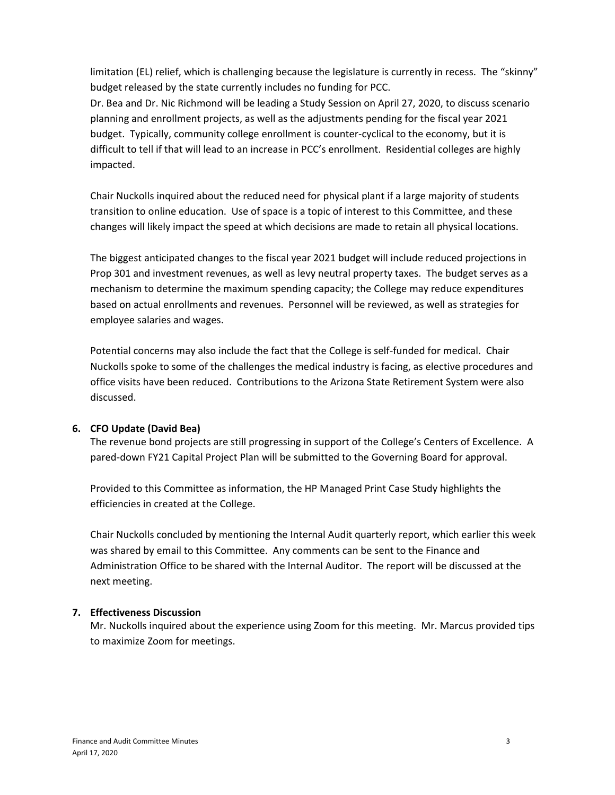limitation (EL) relief, which is challenging because the legislature is currently in recess. The "skinny" budget released by the state currently includes no funding for PCC.

Dr. Bea and Dr. Nic Richmond will be leading a Study Session on April 27, 2020, to discuss scenario planning and enrollment projects, as well as the adjustments pending for the fiscal year 2021 budget. Typically, community college enrollment is counter-cyclical to the economy, but it is difficult to tell if that will lead to an increase in PCC's enrollment. Residential colleges are highly impacted.

Chair Nuckolls inquired about the reduced need for physical plant if a large majority of students transition to online education. Use of space is a topic of interest to this Committee, and these changes will likely impact the speed at which decisions are made to retain all physical locations.

The biggest anticipated changes to the fiscal year 2021 budget will include reduced projections in Prop 301 and investment revenues, as well as levy neutral property taxes. The budget serves as a mechanism to determine the maximum spending capacity; the College may reduce expenditures based on actual enrollments and revenues. Personnel will be reviewed, as well as strategies for employee salaries and wages.

Potential concerns may also include the fact that the College is self-funded for medical. Chair Nuckolls spoke to some of the challenges the medical industry is facing, as elective procedures and office visits have been reduced. Contributions to the Arizona State Retirement System were also discussed.

# **6. CFO Update (David Bea)**

The revenue bond projects are still progressing in support of the College's Centers of Excellence. A pared-down FY21 Capital Project Plan will be submitted to the Governing Board for approval.

Provided to this Committee as information, the HP Managed Print Case Study highlights the efficiencies in created at the College.

Chair Nuckolls concluded by mentioning the Internal Audit quarterly report, which earlier this week was shared by email to this Committee. Any comments can be sent to the Finance and Administration Office to be shared with the Internal Auditor. The report will be discussed at the next meeting.

# **7. Effectiveness Discussion**

Mr. Nuckolls inquired about the experience using Zoom for this meeting. Mr. Marcus provided tips to maximize Zoom for meetings.